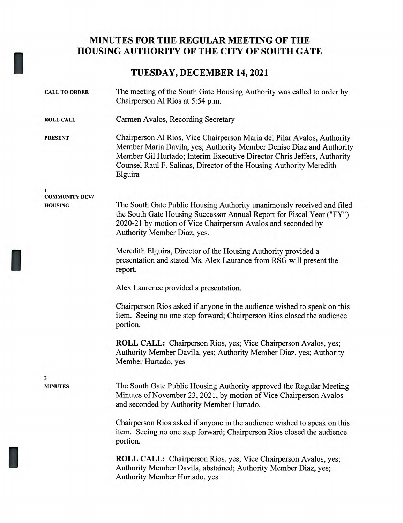## **MINUTES FOR THE REGULAR MEETING OF THE HOUSING AUTHORITY OF THE CITY OF SOUTH GATE**

## **TUESDAY, DECEMBER 14, 2021**

| <b>CALL TO ORDER</b>  | The meeting of the South Gate Housing Authority was called to order by<br>Chairperson Al Rios at 5:54 p.m.                                                                                                                                                                                                   |
|-----------------------|--------------------------------------------------------------------------------------------------------------------------------------------------------------------------------------------------------------------------------------------------------------------------------------------------------------|
| <b>ROLL CALL</b>      | Carmen Avalos, Recording Secretary                                                                                                                                                                                                                                                                           |
| <b>PRESENT</b>        | Chairperson Al Rios, Vice Chairperson Maria del Pilar Avalos, Authority<br>Member Maria Davila, yes; Authority Member Denise Diaz and Authority<br>Member Gil Hurtado; Interim Executive Director Chris Jeffers, Authority<br>Counsel Raul F. Salinas, Director of the Housing Authority Meredith<br>Elguira |
| <b>COMMUNITY DEV/</b> |                                                                                                                                                                                                                                                                                                              |
| <b>HOUSING</b>        | The South Gate Public Housing Authority unanimously received and filed<br>the South Gate Housing Successor Annual Report for Fiscal Year ("FY")<br>2020-21 by motion of Vice Chairperson Avalos and seconded by<br>Authority Member Diaz, yes.                                                               |
|                       | Meredith Elguira, Director of the Housing Authority provided a<br>presentation and stated Ms. Alex Laurance from RSG will present the<br>report.                                                                                                                                                             |
|                       | Alex Laurence provided a presentation.                                                                                                                                                                                                                                                                       |
|                       | Chairperson Rios asked if anyone in the audience wished to speak on this<br>item. Seeing no one step forward; Chairperson Rios closed the audience<br>portion.                                                                                                                                               |
|                       | ROLL CALL: Chairperson Rios, yes; Vice Chairperson Avalos, yes;<br>Authority Member Davila, yes; Authority Member Diaz, yes; Authority<br>Member Hurtado, yes                                                                                                                                                |
| $\mathbf{2}$          |                                                                                                                                                                                                                                                                                                              |
| <b>MINUTES</b>        | The South Gate Public Housing Authority approved the Regular Meeting<br>Minutes of November 23, 2021, by motion of Vice Chairperson Avalos<br>and seconded by Authority Member Hurtado.                                                                                                                      |
|                       | Chairperson Rios asked if anyone in the audience wished to speak on this<br>item. Seeing no one step forward; Chairperson Rios closed the audience<br>portion.                                                                                                                                               |
|                       | <b>ROLL CALL:</b> Chairperson Rios, yes; Vice Chairperson Avalos, yes;<br>Authority Member Davila, abstained; Authority Member Diaz, yes;<br>Authority Member Hurtado, yes                                                                                                                                   |